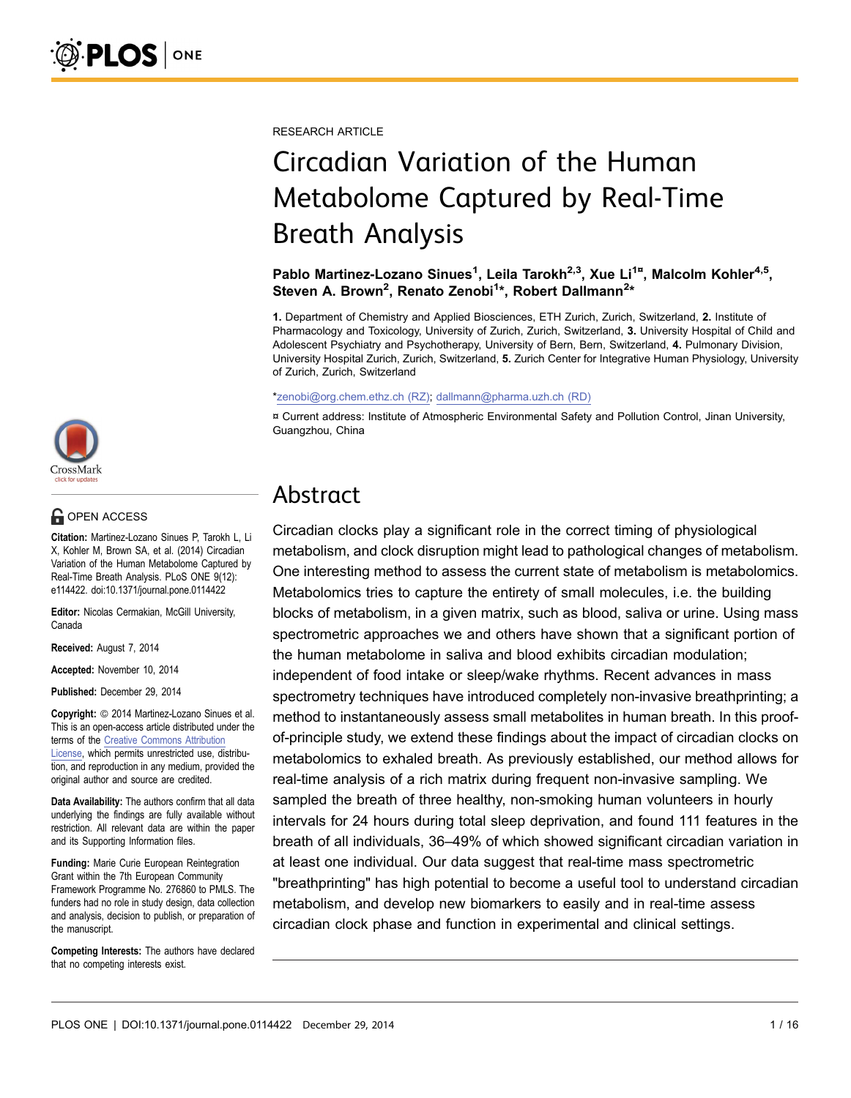CrossMark

# **OPEN ACCESS**

Citation: Martinez-Lozano Sinues P, Tarokh L, Li X, Kohler M, Brown SA, et al. (2014) Circadian Variation of the Human Metabolome Captured by Real-Time Breath Analysis. PLoS ONE 9(12): e114422. doi:10.1371/journal.pone.0114422

Editor: Nicolas Cermakian, McGill University, Canada

Received: August 7, 2014

Accepted: November 10, 2014

Published: December 29, 2014

Copyright: © 2014 Martinez-Lozano Sinues et al. This is an open-access article distributed under the terms of the [Creative Commons Attribution](http://creativecommons.org/licenses/by/4.0/) [License,](http://creativecommons.org/licenses/by/4.0/) which permits unrestricted use, distribution, and reproduction in any medium, provided the original author and source are credited.

Data Availability: The authors confirm that all data underlying the findings are fully available without restriction. All relevant data are within the paper and its Supporting Information files.

Funding: Marie Curie European Reintegration Grant within the 7th European Community Framework Programme No. 276860 to PMLS. The funders had no role in study design, data collection and analysis, decision to publish, or preparation of the manuscript.

Competing Interests: The authors have declared that no competing interests exist.

RESEARCH ARTICLE

# Circadian Variation of the Human Metabolome Captured by Real-Time Breath Analysis

Pablo Martinez-Lozano Sinues<sup>1</sup>, Leila Tarokh<sup>2,3</sup>, Xue Li<sup>1¤</sup>, Malcolm Kohler<sup>4,5</sup>, Steven A. Brown<sup>2</sup>, Renato Zenobi<sup>1\*</sup>, Robert Dallmann<sup>2\*</sup>

1. Department of Chemistry and Applied Biosciences, ETH Zurich, Zurich, Switzerland, 2. Institute of Pharmacology and Toxicology, University of Zurich, Zurich, Switzerland, 3. University Hospital of Child and Adolescent Psychiatry and Psychotherapy, University of Bern, Bern, Switzerland, 4. Pulmonary Division, University Hospital Zurich, Zurich, Switzerland, 5. Zurich Center for Integrative Human Physiology, University of Zurich, Zurich, Switzerland

#### \*zenobi@org.chem.ethz.ch (RZ); dallmann@pharma.uzh.ch (RD)

¤ Current address: Institute of Atmospheric Environmental Safety and Pollution Control, Jinan University, Guangzhou, China

# Abstract

Circadian clocks play a significant role in the correct timing of physiological metabolism, and clock disruption might lead to pathological changes of metabolism. One interesting method to assess the current state of metabolism is metabolomics. Metabolomics tries to capture the entirety of small molecules, i.e. the building blocks of metabolism, in a given matrix, such as blood, saliva or urine. Using mass spectrometric approaches we and others have shown that a significant portion of the human metabolome in saliva and blood exhibits circadian modulation; independent of food intake or sleep/wake rhythms. Recent advances in mass spectrometry techniques have introduced completely non-invasive breathprinting; a method to instantaneously assess small metabolites in human breath. In this proofof-principle study, we extend these findings about the impact of circadian clocks on metabolomics to exhaled breath. As previously established, our method allows for real-time analysis of a rich matrix during frequent non-invasive sampling. We sampled the breath of three healthy, non-smoking human volunteers in hourly intervals for 24 hours during total sleep deprivation, and found 111 features in the breath of all individuals, 36–49% of which showed significant circadian variation in at least one individual. Our data suggest that real-time mass spectrometric "breathprinting" has high potential to become a useful tool to understand circadian metabolism, and develop new biomarkers to easily and in real-time assess circadian clock phase and function in experimental and clinical settings.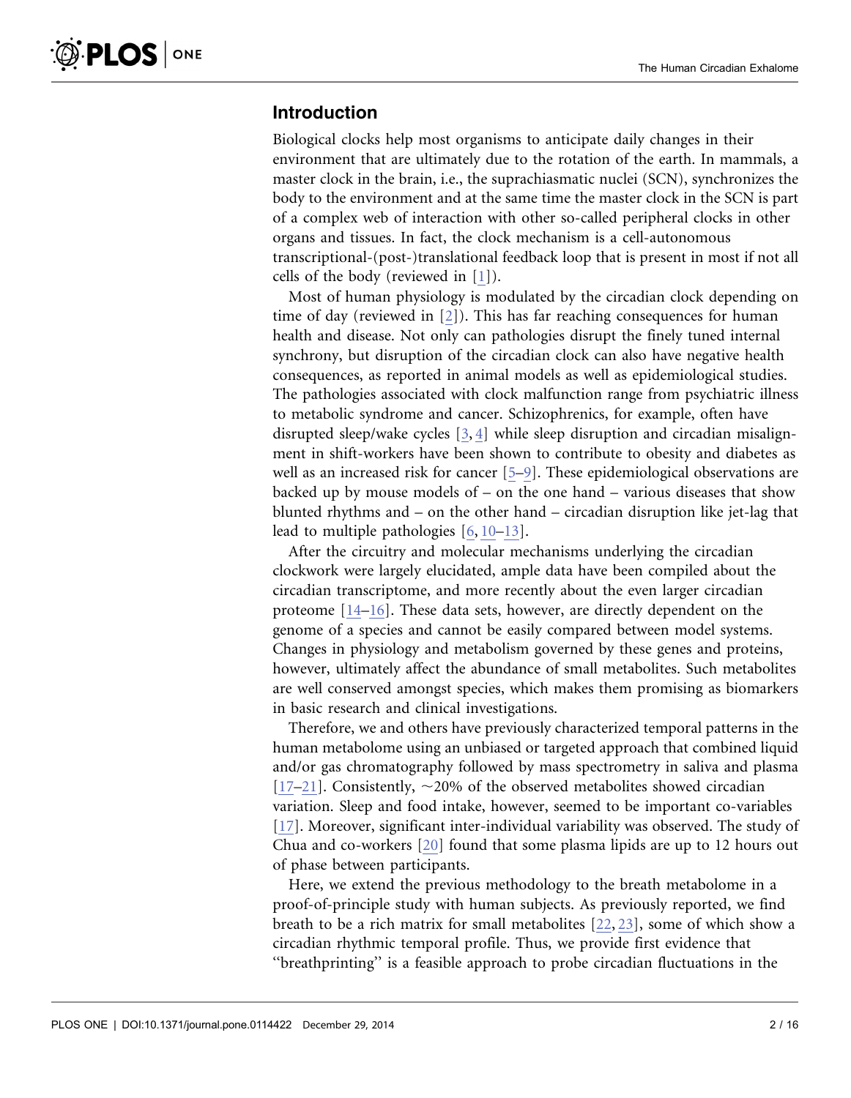# Introduction

Biological clocks help most organisms to anticipate daily changes in their environment that are ultimately due to the rotation of the earth. In mammals, a master clock in the brain, i.e., the suprachiasmatic nuclei (SCN), synchronizes the body to the environment and at the same time the master clock in the SCN is part of a complex web of interaction with other so-called peripheral clocks in other organs and tissues. In fact, the clock mechanism is a cell-autonomous transcriptional-(post-)translational feedback loop that is present in most if not all cells of the body (reviewed in [\[1\]\)](#page-12-0).

Most of human physiology is modulated by the circadian clock depending on time of day (reviewed in [\[2\]](#page-12-0)). This has far reaching consequences for human health and disease. Not only can pathologies disrupt the finely tuned internal synchrony, but disruption of the circadian clock can also have negative health consequences, as reported in animal models as well as epidemiological studies. The pathologies associated with clock malfunction range from psychiatric illness to metabolic syndrome and cancer. Schizophrenics, for example, often have disrupted sleep/wake cycles [\[3,](#page-12-0) [4\]](#page-12-0) while sleep disruption and circadian misalignment in shift-workers have been shown to contribute to obesity and diabetes as well as an increased risk for cancer [\[5–9\].](#page-12-0) These epidemiological observations are backed up by mouse models of – on the one hand – various diseases that show blunted rhythms and – on the other hand – circadian disruption like jet-lag that lead to multiple pathologies [\[6,](#page-12-0) [10–](#page-12-0)[13](#page-13-0)[\]](#page-12-0).

After the circuitry and molecular mechanisms underlying the circadian clockwork were largely elucidated, ample data have been compiled about the circadian transcriptome, and more recently about the even larger circadian proteome [\[14–16\]](#page-13-0). These data sets, however, are directly dependent on the genome of a species and cannot be easily compared between model systems. Changes in physiology and metabolism governed by these genes and proteins, however, ultimately affect the abundance of small metabolites. Such metabolites are well conserved amongst species, which makes them promising as biomarkers in basic research and clinical investigations.

Therefore, we and others have previously characterized temporal patterns in the human metabolome using an unbiased or targeted approach that combined liquid and/or gas chromatography followed by mass spectrometry in saliva and plasma [\[17–21\].](#page-13-0) Consistently,  $\sim$ 20% of the observed metabolites showed circadian variation. Sleep and food intake, however, seemed to be important co-variables [\[17\].](#page-13-0) Moreover, significant inter-individual variability was observed. The study of Chua and co-workers [\[20\]](#page-13-0) found that some plasma lipids are up to 12 hours out of phase between participants.

Here, we extend the previous methodology to the breath metabolome in a proof-of-principle study with human subjects. As previously reported, we find breath to be a rich matrix for small metabolites [\[22,](#page-13-0) [23\]](#page-13-0), some of which show a circadian rhythmic temporal profile. Thus, we provide first evidence that ''breathprinting'' is a feasible approach to probe circadian fluctuations in the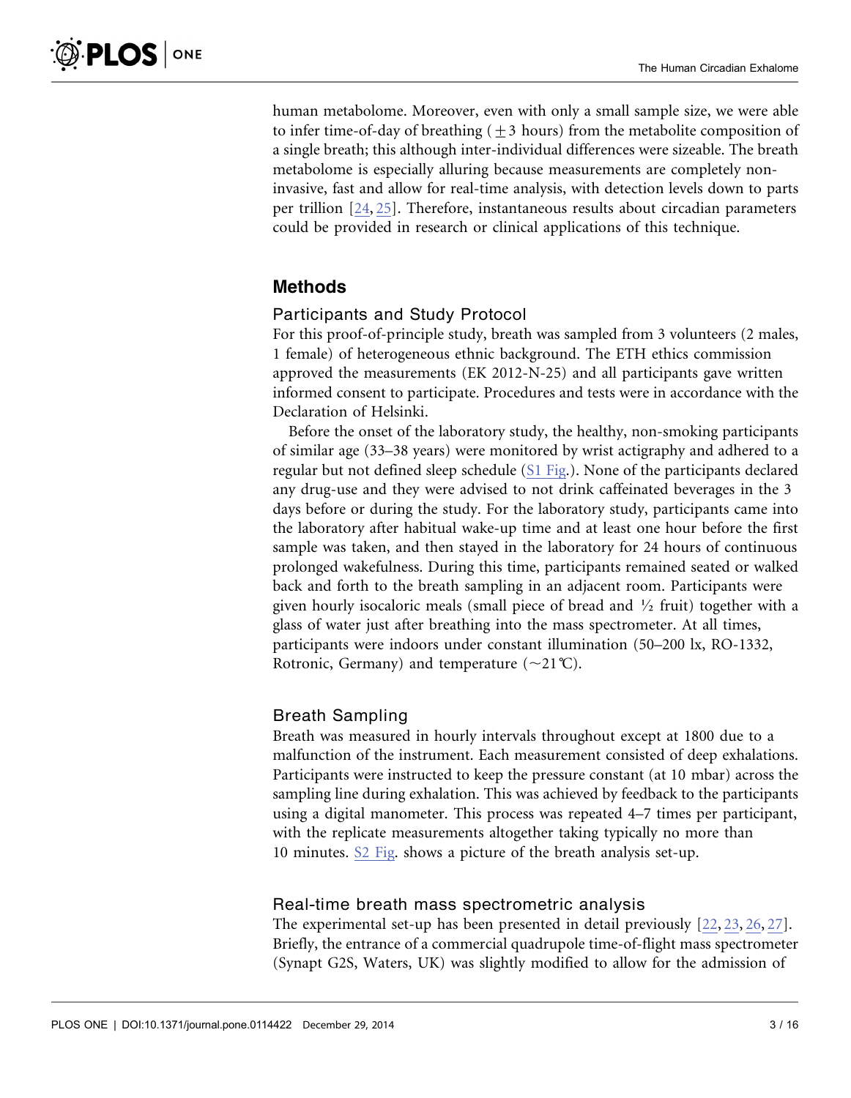human metabolome. Moreover, even with only a small sample size, we were able to infer time-of-day of breathing  $(\pm 3$  hours) from the metabolite composition of a single breath; this although inter-individual differences were sizeable. The breath metabolome is especially alluring because measurements are completely noninvasive, fast and allow for real-time analysis, with detection levels down to parts per trillion [\[24,](#page-13-0) [25\]](#page-13-0). Therefore, instantaneous results about circadian parameters could be provided in research or clinical applications of this technique.

# Methods

# Participants and Study Protocol

For this proof-of-principle study, breath was sampled from 3 volunteers (2 males, 1 female) of heterogeneous ethnic background. The ETH ethics commission approved the measurements (EK 2012-N-25) and all participants gave written informed consent to participate. Procedures and tests were in accordance with the Declaration of Helsinki.

Before the onset of the laboratory study, the healthy, non-smoking participants of similar age (33–38 years) were monitored by wrist actigraphy and adhered to a regular but not defined sleep schedule [\(S1 Fig](#page-11-0).). None of the participants declared any drug-use and they were advised to not drink caffeinated beverages in the 3 days before or during the study. For the laboratory study, participants came into the laboratory after habitual wake-up time and at least one hour before the first sample was taken, and then stayed in the laboratory for 24 hours of continuous prolonged wakefulness. During this time, participants remained seated or walked back and forth to the breath sampling in an adjacent room. Participants were given hourly isocaloric meals (small piece of bread and  $\frac{1}{2}$  fruit) together with a glass of water just after breathing into the mass spectrometer. At all times, participants were indoors under constant illumination (50–200 lx, RO-1332, Rotronic, Germany) and temperature  $(\sim 21 \degree C)$ .

# Breath Sampling

Breath was measured in hourly intervals throughout except at 1800 due to a malfunction of the instrument. Each measurement consisted of deep exhalations. Participants were instructed to keep the pressure constant (at 10 mbar) across the sampling line during exhalation. This was achieved by feedback to the participants using a digital manometer. This process was repeated 4–7 times per participant, with the replicate measurements altogether taking typically no more than 10 minutes. [S2 Fig](#page-11-0). shows a picture of the breath analysis set-up.

# Real-time breath mass spectrometric analysis

The experimental set-up has been presented in detail previously [\[22,](#page-13-0) [23,](#page-13-0) [26,](#page-13-0) [27\].](#page-13-0) Briefly, the entrance of a commercial quadrupole time-of-flight mass spectrometer (Synapt G2S, Waters, UK) was slightly modified to allow for the admission of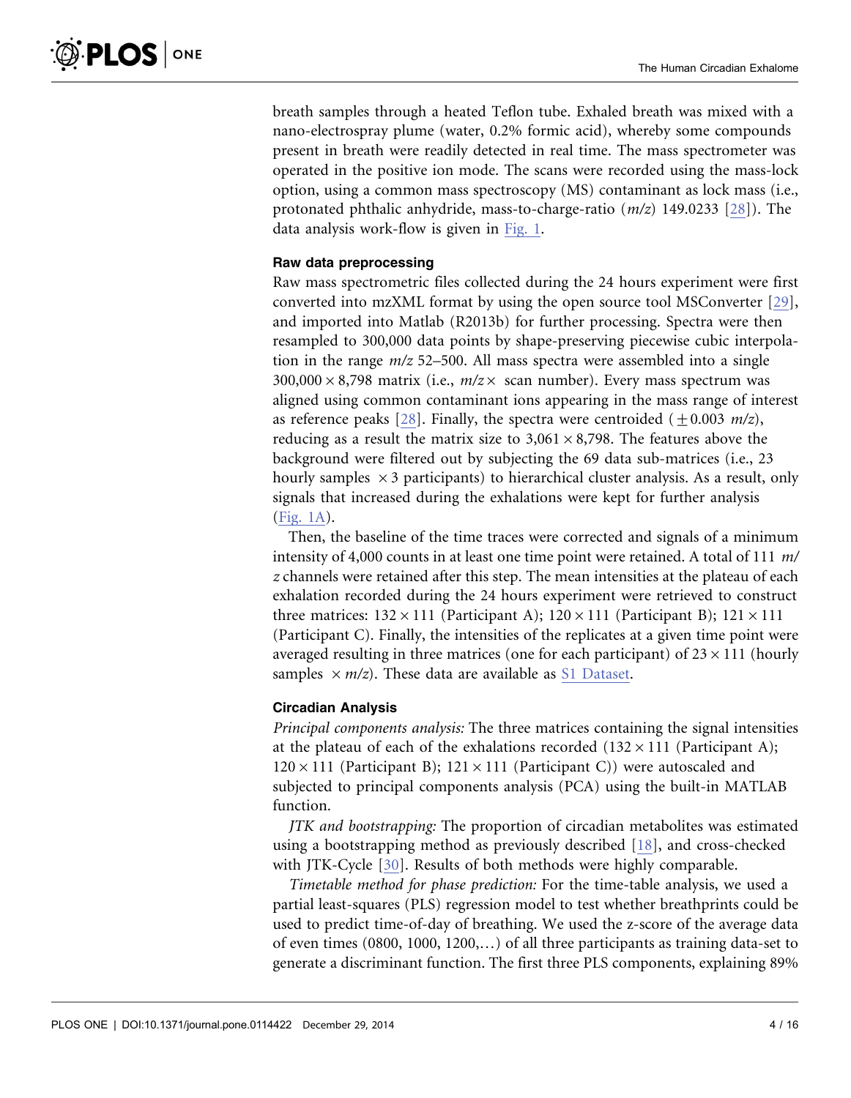breath samples through a heated Teflon tube. Exhaled breath was mixed with a nano-electrospray plume (water, 0.2% formic acid), whereby some compounds present in breath were readily detected in real time. The mass spectrometer was operated in the positive ion mode. The scans were recorded using the mass-lock option, using a common mass spectroscopy (MS) contaminant as lock mass (i.e., protonated phthalic anhydride, mass-to-charge-ratio (m/z) 149.0233 [\[28\]\)](#page-13-0). The data analysis work-flow is given in [Fig. 1](#page-4-0).

#### Raw data preprocessing

Raw mass spectrometric files collected during the 24 hours experiment were first converted into mzXML format by using the open source tool MSConverter [\[29\]](#page-13-0), and imported into Matlab (R2013b) for further processing. Spectra were then resampled to 300,000 data points by shape-preserving piecewise cubic interpolation in the range  $m/z$  52–500. All mass spectra were assembled into a single  $300,000 \times 8,798$  matrix (i.e.,  $m/z \times$  scan number). Every mass spectrum was aligned using common contaminant ions appearing in the mass range of interest as reference peaks [\[28\].](#page-13-0) Finally, the spectra were centroided  $(+0.003 \frac{m}{z})$ , reducing as a result the matrix size to  $3,061 \times 8,798$ . The features above the background were filtered out by subjecting the 69 data sub-matrices (i.e., 23 hourly samples  $\times$  3 participants) to hierarchical cluster analysis. As a result, only signals that increased during the exhalations were kept for further analysis ([Fig. 1A](#page-4-0)).

Then, the baseline of the time traces were corrected and signals of a minimum intensity of 4,000 counts in at least one time point were retained. A total of 111 m/ z channels were retained after this step. The mean intensities at the plateau of each exhalation recorded during the 24 hours experiment were retrieved to construct three matrices:  $132 \times 111$  (Participant A);  $120 \times 111$  (Participant B);  $121 \times 111$ (Participant C). Finally, the intensities of the replicates at a given time point were averaged resulting in three matrices (one for each participant) of  $23 \times 111$  (hourly samples  $\times m/z$ ). These data are available as [S1 Dataset](#page-11-0).

#### Circadian Analysis

Principal components analysis: The three matrices containing the signal intensities at the plateau of each of the exhalations recorded  $(132 \times 111)$  (Participant A);  $120 \times 111$  (Participant B);  $121 \times 111$  (Participant C)) were autoscaled and subjected to principal components analysis (PCA) using the built-in MATLAB function.

JTK and bootstrapping: The proportion of circadian metabolites was estimated using a bootstrapping method as previously described [\[18\],](#page-13-0) and cross-checked with JTK-Cycle [\[30\].](#page-13-0) Results of both methods were highly comparable.

Timetable method for phase prediction: For the time-table analysis, we used a partial least-squares (PLS) regression model to test whether breathprints could be used to predict time-of-day of breathing. We used the z-score of the average data of even times (0800, 1000, 1200,…) of all three participants as training data-set to generate a discriminant function. The first three PLS components, explaining 89%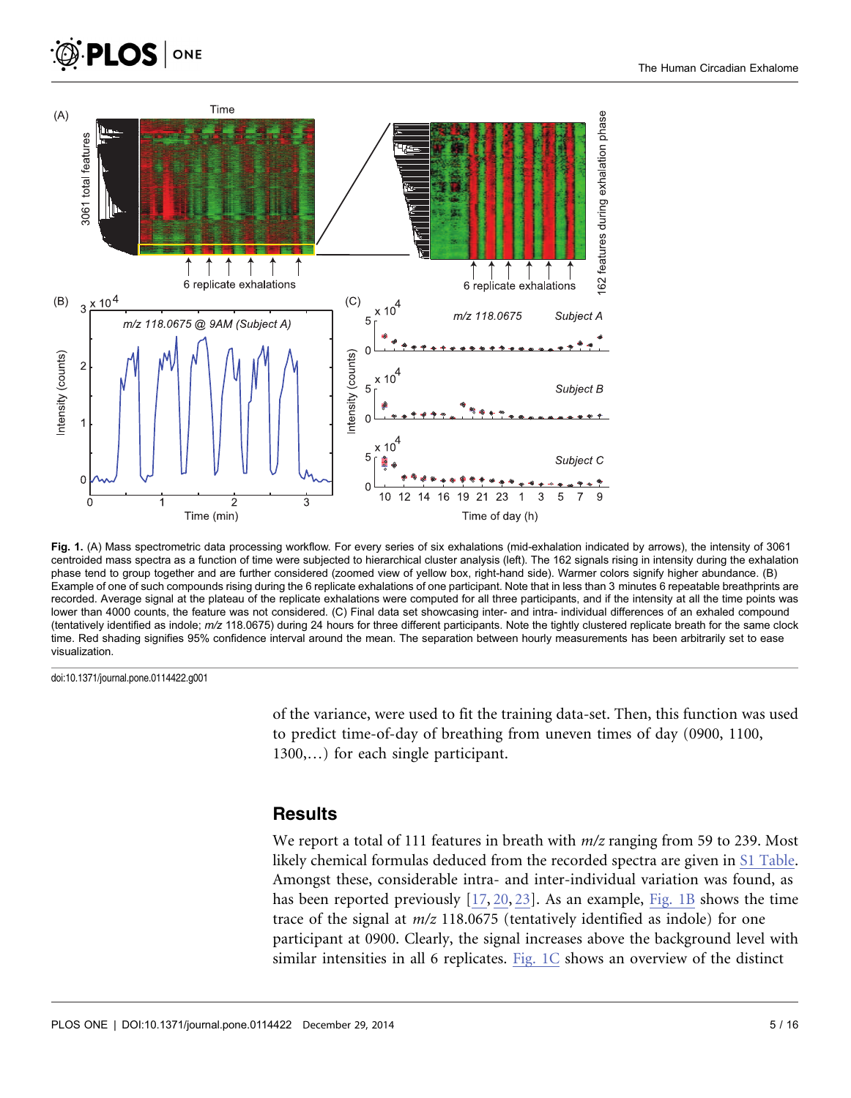<span id="page-4-0"></span>



Fig. 1. (A) Mass spectrometric data processing workflow. For every series of six exhalations (mid-exhalation indicated by arrows), the intensity of 3061 centroided mass spectra as a function of time were subjected to hierarchical cluster analysis (left). The 162 signals rising in intensity during the exhalation phase tend to group together and are further considered (zoomed view of yellow box, right-hand side). Warmer colors signify higher abundance. (B) Example of one of such compounds rising during the 6 replicate exhalations of one participant. Note that in less than 3 minutes 6 repeatable breathprints are recorded. Average signal at the plateau of the replicate exhalations were computed for all three participants, and if the intensity at all the time points was lower than 4000 counts, the feature was not considered. (C) Final data set showcasing inter- and intra- individual differences of an exhaled compound (tentatively identified as indole; m/z 118.0675) during 24 hours for three different participants. Note the tightly clustered replicate breath for the same clock time. Red shading signifies 95% confidence interval around the mean. The separation between hourly measurements has been arbitrarily set to ease visualization.

of the variance, were used to fit the training data-set. Then, this function was used to predict time-of-day of breathing from uneven times of day (0900, 1100, 1300,…) for each single participant.

### **Results**

We report a total of 111 features in breath with  $m/z$  ranging from 59 to 239. Most likely chemical formulas deduced from the recorded spectra are given in [S1 Table](#page-11-0). Amongst these, considerable intra- and inter-individual variation was found, as has been reported previously [\[17,](#page-13-0) [20,](#page-13-0) [23\]](#page-13-0). As an example, Fig. 1B shows the time trace of the signal at  $m/z$  118.0675 (tentatively identified as indole) for one participant at 0900. Clearly, the signal increases above the background level with similar intensities in all 6 replicates. Fig. 1C shows an overview of the distinct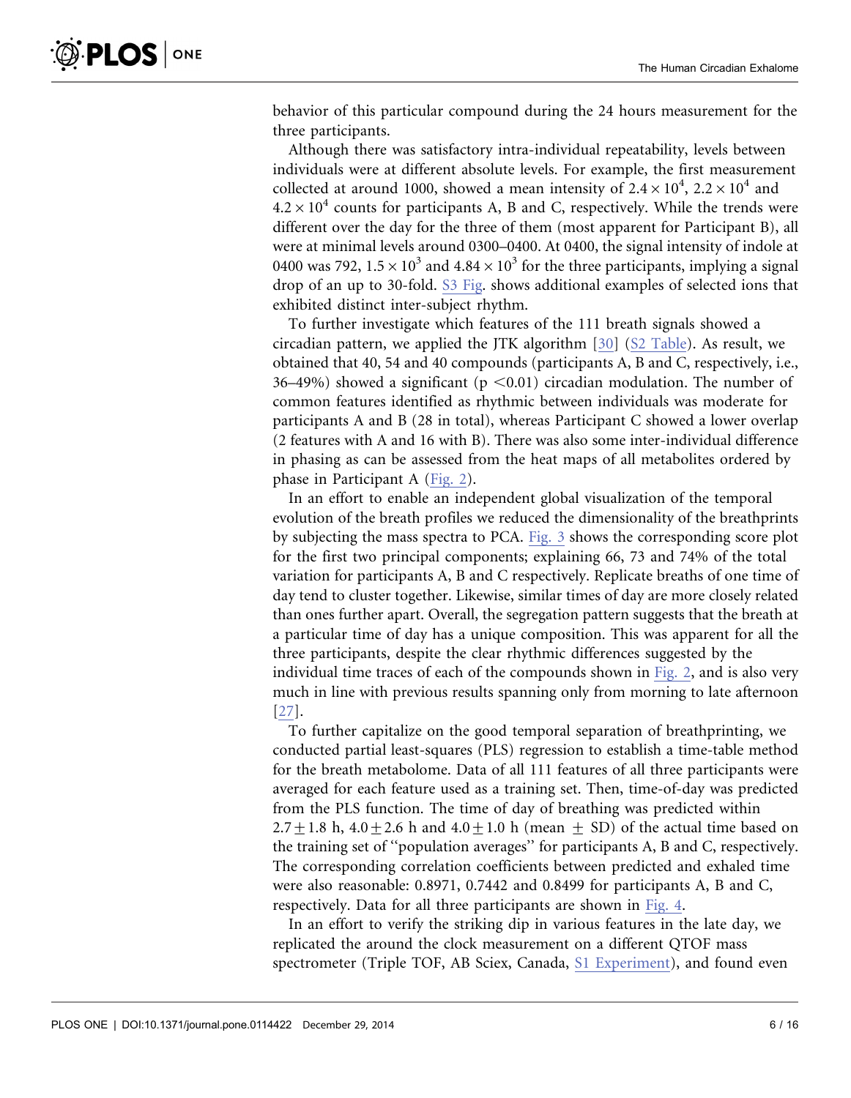behavior of this particular compound during the 24 hours measurement for the three participants.

Although there was satisfactory intra-individual repeatability, levels between individuals were at different absolute levels. For example, the first measurement collected at around 1000, showed a mean intensity of  $2.4 \times 10^4$ ,  $2.2 \times 10^4$  and  $4.2 \times 10^4$  counts for participants A, B and C, respectively. While the trends were different over the day for the three of them (most apparent for Participant B), all were at minimal levels around 0300–0400. At 0400, the signal intensity of indole at 0400 was 792,  $1.5 \times 10^3$  and  $4.84 \times 10^3$  for the three participants, implying a signal drop of an up to 30-fold. [S3 Fig](#page-11-0). shows additional examples of selected ions that exhibited distinct inter-subject rhythm.

To further investigate which features of the 111 breath signals showed a circadian pattern, we applied the JTK algorithm [\[30\]](#page-13-0) ([S2 Table](#page-11-0)). As result, we obtained that 40, 54 and 40 compounds (participants A, B and C, respectively, i.e., 36–49%) showed a significant ( $p < 0.01$ ) circadian modulation. The number of common features identified as rhythmic between individuals was moderate for participants A and B (28 in total), whereas Participant C showed a lower overlap (2 features with A and 16 with B). There was also some inter-individual difference in phasing as can be assessed from the heat maps of all metabolites ordered by phase in Participant A ([Fig. 2](#page-6-0)).

In an effort to enable an independent global visualization of the temporal evolution of the breath profiles we reduced the dimensionality of the breathprints by subjecting the mass spectra to PCA. [Fig. 3](#page-7-0) shows the corresponding score plot for the first two principal components; explaining 66, 73 and 74% of the total variation for participants A, B and C respectively. Replicate breaths of one time of day tend to cluster together. Likewise, similar times of day are more closely related than ones further apart. Overall, the segregation pattern suggests that the breath at a particular time of day has a unique composition. This was apparent for all the three participants, despite the clear rhythmic differences suggested by the individual time traces of each of the compounds shown in [Fig. 2](#page-6-0), and is also very much in line with previous results spanning only from morning to late afternoon [\[27\].](#page-13-0)

To further capitalize on the good temporal separation of breathprinting, we conducted partial least-squares (PLS) regression to establish a time-table method for the breath metabolome. Data of all 111 features of all three participants were averaged for each feature used as a training set. Then, time-of-day was predicted from the PLS function. The time of day of breathing was predicted within 2.7 $\pm$ 1.8 h, 4.0 $\pm$ 2.6 h and 4.0 $\pm$ 1.0 h (mean  $\pm$  SD) of the actual time based on the training set of ''population averages'' for participants A, B and C, respectively. The corresponding correlation coefficients between predicted and exhaled time were also reasonable: 0.8971, 0.7442 and 0.8499 for participants A, B and C, respectively. Data for all three participants are shown in [Fig. 4.](#page-8-0)

In an effort to verify the striking dip in various features in the late day, we replicated the around the clock measurement on a different QTOF mass spectrometer (Triple TOF, AB Sciex, Canada, [S1 Experiment](#page-11-0)), and found even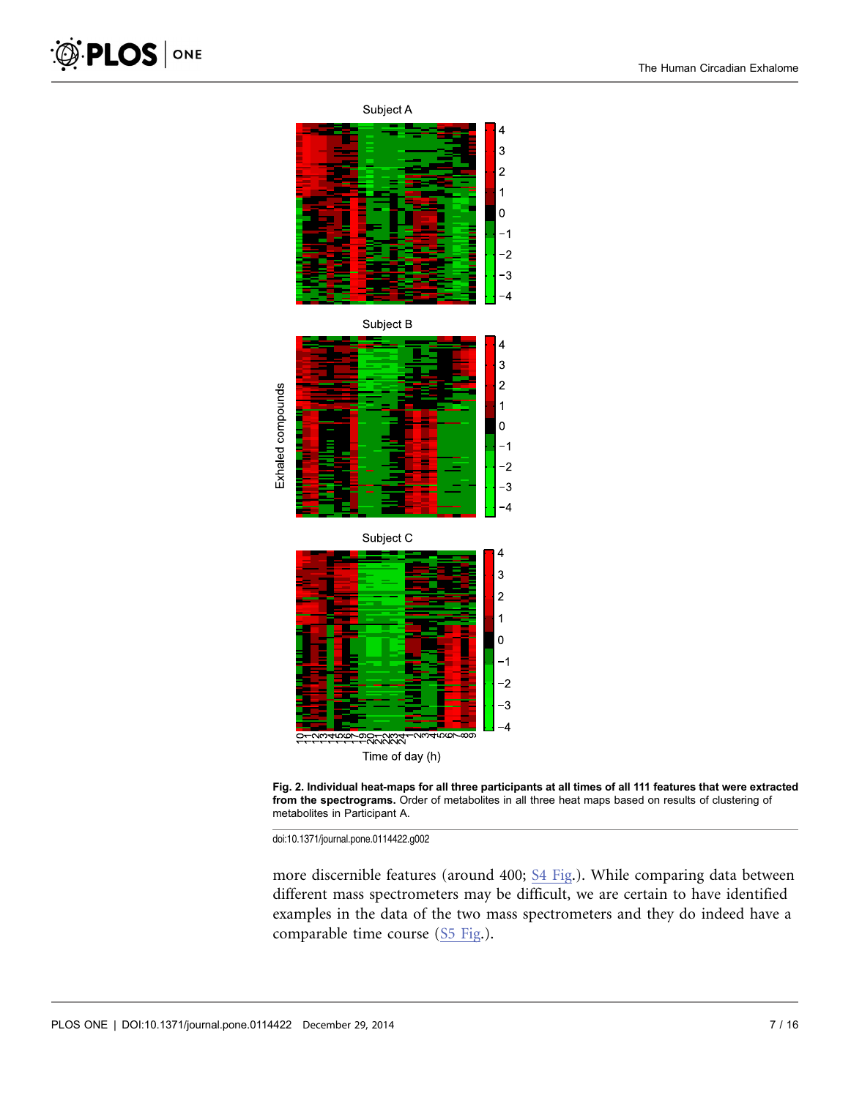<span id="page-6-0"></span>



more discernible features (around 400; [S4 Fig.](#page-11-0)). While comparing data between different mass spectrometers may be difficult, we are certain to have identified examples in the data of the two mass spectrometers and they do indeed have a comparable time course ([S5 Fig.](#page-11-0)).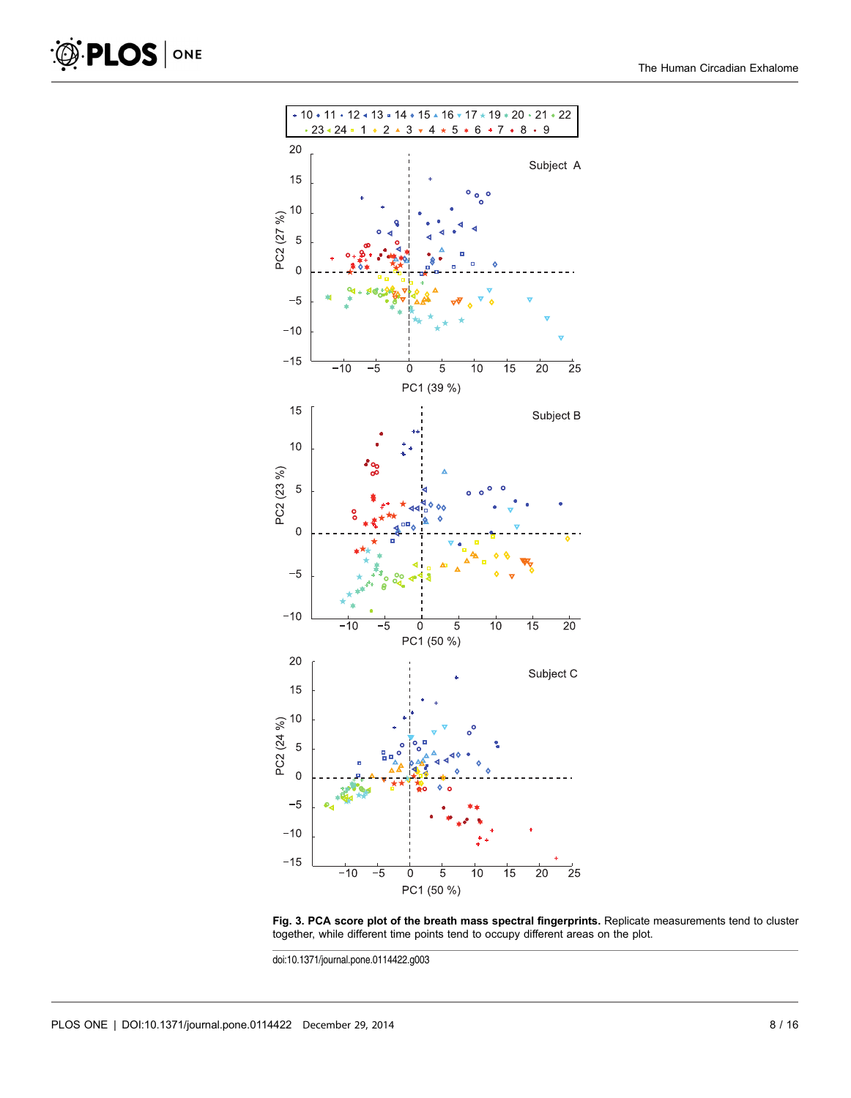<span id="page-7-0"></span>

Fig. 3. PCA score plot of the breath mass spectral fingerprints. Replicate measurements tend to cluster together, while different time points tend to occupy different areas on the plot.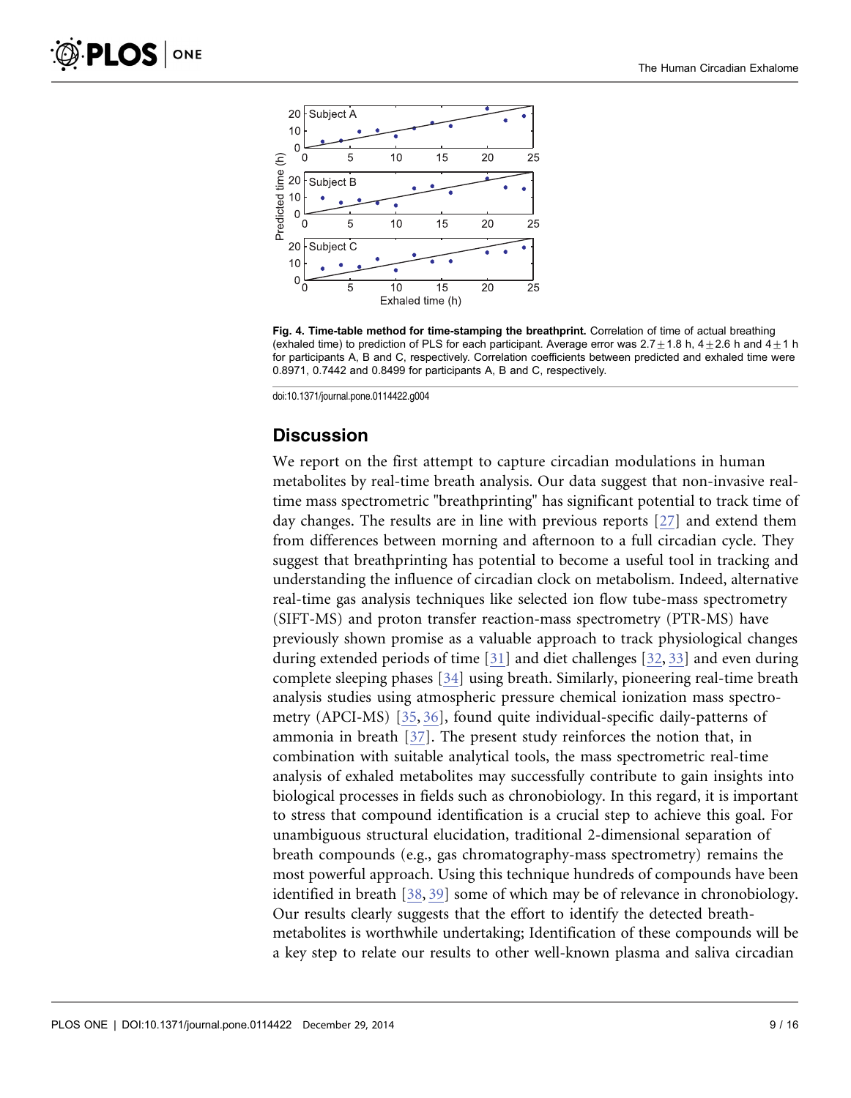<span id="page-8-0"></span>

Fig. 4. Time-table method for time-stamping the breathprint. Correlation of time of actual breathing (exhaled time) to prediction of PLS for each participant. Average error was  $2.7 \pm 1.8$  h,  $4 \pm 2.6$  h and  $4 \pm 1$  h for participants A, B and C, respectively. Correlation coefficients between predicted and exhaled time were 0.8971, 0.7442 and 0.8499 for participants A, B and C, respectively.

# **Discussion**

We report on the first attempt to capture circadian modulations in human metabolites by real-time breath analysis. Our data suggest that non-invasive realtime mass spectrometric "breathprinting" has significant potential to track time of day changes. The results are in line with previous reports [\[27\]](#page-13-0) and extend them from differences between morning and afternoon to a full circadian cycle. They suggest that breathprinting has potential to become a useful tool in tracking and understanding the influence of circadian clock on metabolism. Indeed, alternative real-time gas analysis techniques like selected ion flow tube-mass spectrometry (SIFT-MS) and proton transfer reaction-mass spectrometry (PTR-MS) have previously shown promise as a valuable approach to track physiological changes during extended periods of time [\[31\]](#page-13-0) and diet challenges [\[32,](#page-13-0) [33\]](#page-13-0) and even during complete sleeping phases [\[34\]](#page-13-0) using breath. Similarly, pioneering real-time breath analysis studies using atmospheric pressure chemical ionization mass spectrometry (APCI-MS) [\[35,](#page-13-0) [36](#page-14-0)[\]](#page-13-0), found quite individual-specific daily-patterns of ammonia in breath [\[37\]](#page-14-0). The present study reinforces the notion that, in combination with suitable analytical tools, the mass spectrometric real-time analysis of exhaled metabolites may successfully contribute to gain insights into biological processes in fields such as chronobiology. In this regard, it is important to stress that compound identification is a crucial step to achieve this goal. For unambiguous structural elucidation, traditional 2-dimensional separation of breath compounds (e.g., gas chromatography-mass spectrometry) remains the most powerful approach. Using this technique hundreds of compounds have been identified in breath [\[38,](#page-14-0) [39\]](#page-14-0) some of which may be of relevance in chronobiology. Our results clearly suggests that the effort to identify the detected breathmetabolites is worthwhile undertaking; Identification of these compounds will be a key step to relate our results to other well-known plasma and saliva circadian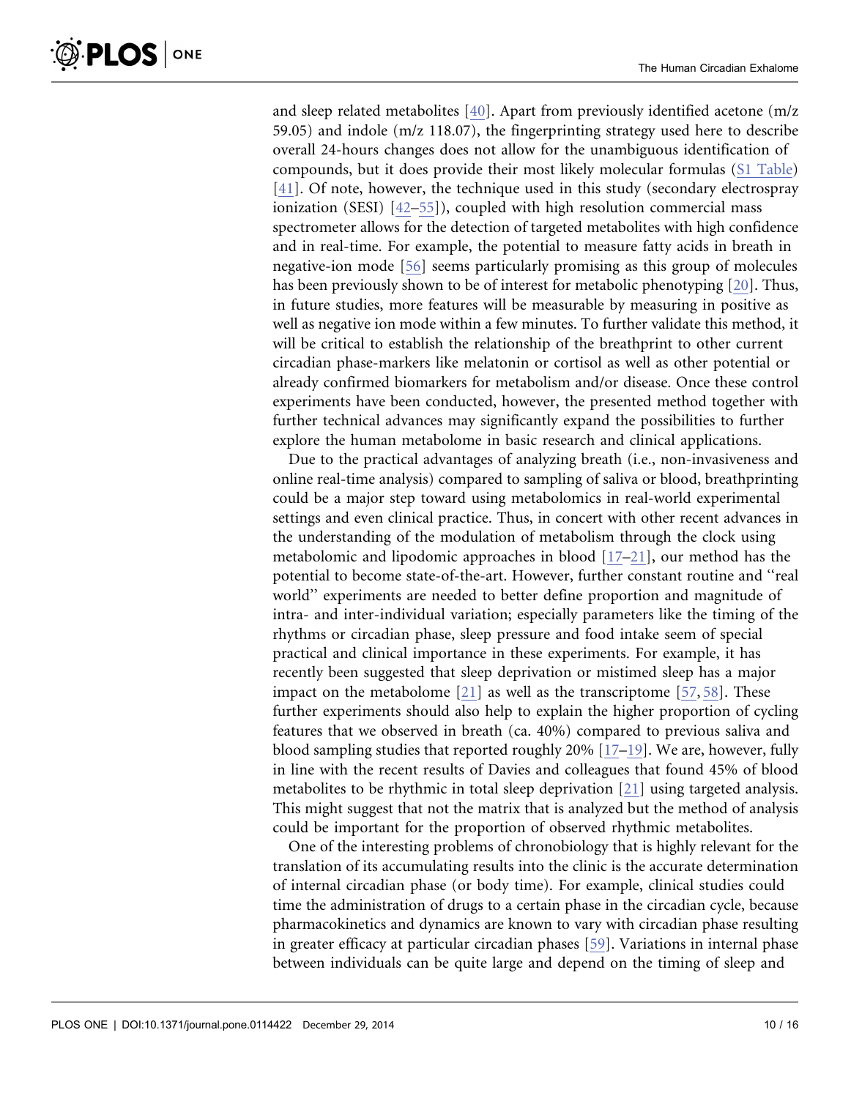and sleep related metabolites [\[40\].](#page-14-0) Apart from previously identified acetone (m/z 59.05) and indole (m/z 118.07), the fingerprinting strategy used here to describe overall 24-hours changes does not allow for the unambiguous identification of compounds, but it does provide their most likely molecular formulas [\(S1 Table\)](#page-11-0) [\[41\].](#page-14-0) Of note, however, the technique used in this study (secondary electrospray ionization (SESI) [\[42–55\]\)](#page-14-0), coupled with high resolution commercial mass spectrometer allows for the detection of targeted metabolites with high confidence and in real-time. For example, the potential to measure fatty acids in breath in negative-ion mode [\[56\]](#page-14-0) seems particularly promising as this group of molecules has been previously shown to be of interest for metabolic phenotyping [\[20\]](#page-13-0). Thus, in future studies, more features will be measurable by measuring in positive as well as negative ion mode within a few minutes. To further validate this method, it will be critical to establish the relationship of the breathprint to other current circadian phase-markers like melatonin or cortisol as well as other potential or already confirmed biomarkers for metabolism and/or disease. Once these control experiments have been conducted, however, the presented method together with further technical advances may significantly expand the possibilities to further explore the human metabolome in basic research and clinical applications.

Due to the practical advantages of analyzing breath (i.e., non-invasiveness and online real-time analysis) compared to sampling of saliva or blood, breathprinting could be a major step toward using metabolomics in real-world experimental settings and even clinical practice. Thus, in concert with other recent advances in the understanding of the modulation of metabolism through the clock using metabolomic and lipodomic approaches in blood [\[17–21\]](#page-13-0), our method has the potential to become state-of-the-art. However, further constant routine and ''real world'' experiments are needed to better define proportion and magnitude of intra- and inter-individual variation; especially parameters like the timing of the rhythms or circadian phase, sleep pressure and food intake seem of special practical and clinical importance in these experiments. For example, it has recently been suggested that sleep deprivation or mistimed sleep has a major impact on the metabolome  $[21]$  as well as the transcriptome  $[57, 58]$  $[57, 58]$ . These further experiments should also help to explain the higher proportion of cycling features that we observed in breath (ca. 40%) compared to previous saliva and blood sampling studies that reported roughly 20%  $[17–19]$ . We are, however, fully in line with the recent results of Davies and colleagues that found 45% of blood metabolites to be rhythmic in total sleep deprivation [\[21\]](#page-13-0) using targeted analysis. This might suggest that not the matrix that is analyzed but the method of analysis could be important for the proportion of observed rhythmic metabolites.

One of the interesting problems of chronobiology that is highly relevant for the translation of its accumulating results into the clinic is the accurate determination of internal circadian phase (or body time). For example, clinical studies could time the administration of drugs to a certain phase in the circadian cycle, because pharmacokinetics and dynamics are known to vary with circadian phase resulting in greater efficacy at particular circadian phases [\[59\].](#page-15-0) Variations in internal phase between individuals can be quite large and depend on the timing of sleep and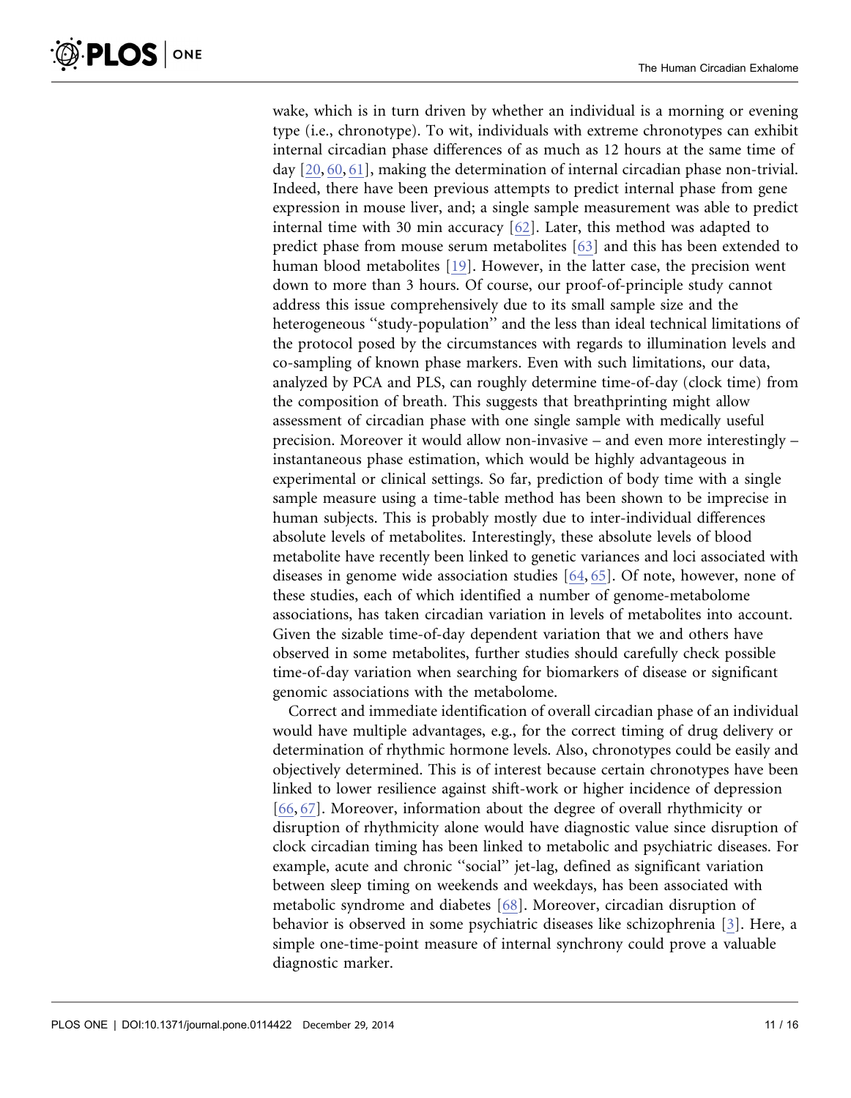$\delta$ -PLOS  $|$  on e

wake, which is in turn driven by whether an individual is a morning or evening type (i.e., chronotype). To wit, individuals with extreme chronotypes can exhibit internal circadian phase differences of as much as 12 hours at the same time of day [\[20,](#page-13-0) [60,](#page-15-0) [61](#page-15-0)[\]](#page-13-0), making the determination of internal circadian phase non-trivial. Indeed, there have been previous attempts to predict internal phase from gene expression in mouse liver, and; a single sample measurement was able to predict internal time with 30 min accuracy [\[62\].](#page-15-0) Later, this method was adapted to predict phase from mouse serum metabolites [\[63\]](#page-15-0) and this has been extended to human blood metabolites [\[19\]](#page-13-0). However, in the latter case, the precision went down to more than 3 hours. Of course, our proof-of-principle study cannot address this issue comprehensively due to its small sample size and the heterogeneous ''study-population'' and the less than ideal technical limitations of the protocol posed by the circumstances with regards to illumination levels and co-sampling of known phase markers. Even with such limitations, our data, analyzed by PCA and PLS, can roughly determine time-of-day (clock time) from the composition of breath. This suggests that breathprinting might allow assessment of circadian phase with one single sample with medically useful precision. Moreover it would allow non-invasive – and even more interestingly – instantaneous phase estimation, which would be highly advantageous in experimental or clinical settings. So far, prediction of body time with a single sample measure using a time-table method has been shown to be imprecise in human subjects. This is probably mostly due to inter-individual differences absolute levels of metabolites. Interestingly, these absolute levels of blood metabolite have recently been linked to genetic variances and loci associated with diseases in genome wide association studies [\[64,](#page-15-0) [65\].](#page-15-0) Of note, however, none of these studies, each of which identified a number of genome-metabolome associations, has taken circadian variation in levels of metabolites into account. Given the sizable time-of-day dependent variation that we and others have observed in some metabolites, further studies should carefully check possible time-of-day variation when searching for biomarkers of disease or significant genomic associations with the metabolome.

Correct and immediate identification of overall circadian phase of an individual would have multiple advantages, e.g., for the correct timing of drug delivery or determination of rhythmic hormone levels. Also, chronotypes could be easily and objectively determined. This is of interest because certain chronotypes have been linked to lower resilience against shift-work or higher incidence of depression [\[66,](#page-15-0) [67\]](#page-15-0). Moreover, information about the degree of overall rhythmicity or disruption of rhythmicity alone would have diagnostic value since disruption of clock circadian timing has been linked to metabolic and psychiatric diseases. For example, acute and chronic ''social'' jet-lag, defined as significant variation between sleep timing on weekends and weekdays, has been associated with metabolic syndrome and diabetes [\[68\].](#page-15-0) Moreover, circadian disruption of behavior is observed in some psychiatric diseases like schizophrenia [\[3\]](#page-12-0). Here, a simple one-time-point measure of internal synchrony could prove a valuable diagnostic marker.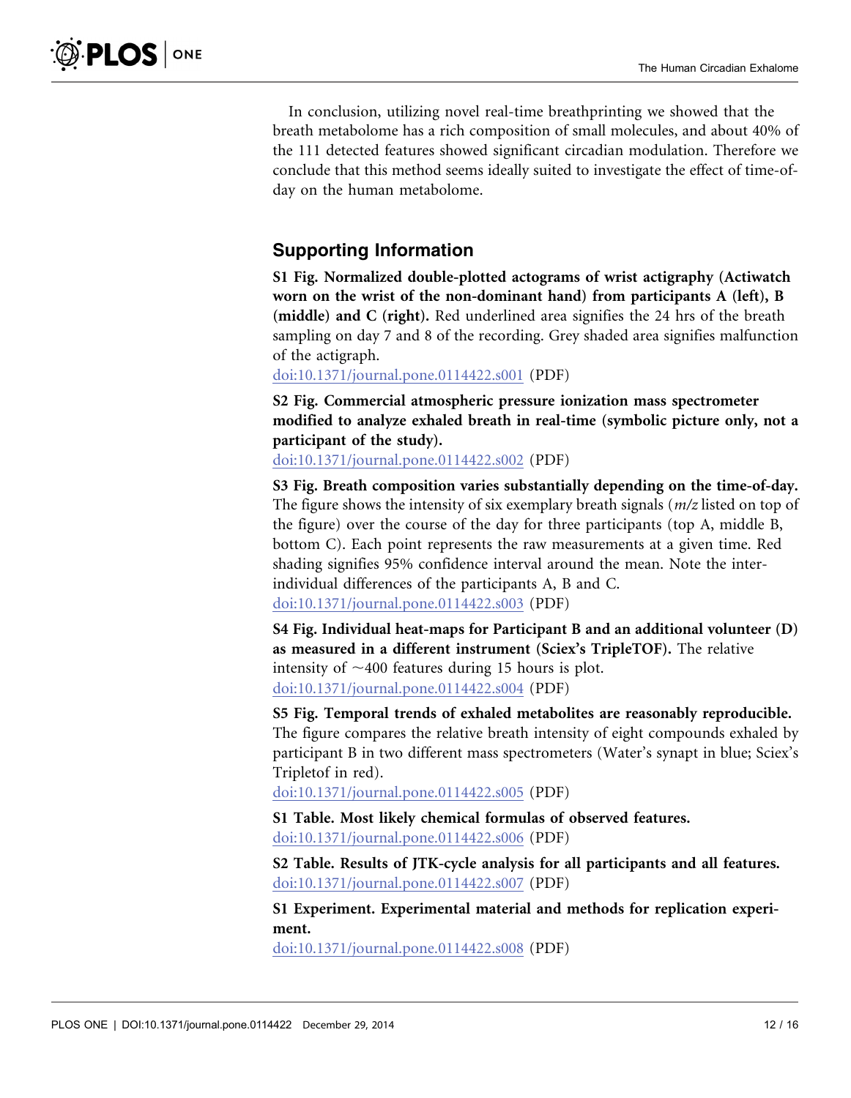<span id="page-11-0"></span>In conclusion, utilizing novel real-time breathprinting we showed that the breath metabolome has a rich composition of small molecules, and about 40% of the 111 detected features showed significant circadian modulation. Therefore we conclude that this method seems ideally suited to investigate the effect of time-ofday on the human metabolome.

# Supporting Information

S1 Fig. Normalized double-plotted actograms of wrist actigraphy (Actiwatch worn on the wrist of the non-dominant hand) from participants A (left), B (middle) and C (right). Red underlined area signifies the 24 hrs of the breath sampling on day 7 and 8 of the recording. Grey shaded area signifies malfunction of the actigraph.

[doi:10.1371/journal.pone.0114422.s001](http://www.plosone.org/article/fetchSingleRepresentation.action?uri=info:doi/10.1371/journal.pone.0114422.s001) (PDF)

S2 Fig. Commercial atmospheric pressure ionization mass spectrometer modified to analyze exhaled breath in real-time (symbolic picture only, not a participant of the study).

[doi:10.1371/journal.pone.0114422.s002](http://www.plosone.org/article/fetchSingleRepresentation.action?uri=info:doi/10.1371/journal.pone.0114422.s002) (PDF)

S3 Fig. Breath composition varies substantially depending on the time-of-day. The figure shows the intensity of six exemplary breath signals  $(m/z)$  listed on top of the figure) over the course of the day for three participants (top A, middle B, bottom C). Each point represents the raw measurements at a given time. Red shading signifies 95% confidence interval around the mean. Note the interindividual differences of the participants A, B and C. [doi:10.1371/journal.pone.0114422.s003](http://www.plosone.org/article/fetchSingleRepresentation.action?uri=info:doi/10.1371/journal.pone.0114422.s003) (PDF)

S4 Fig. Individual heat-maps for Participant B and an additional volunteer (D) as measured in a different instrument (Sciex's TripleTOF). The relative intensity of  $\sim$ 400 features during 15 hours is plot. [doi:10.1371/journal.pone.0114422.s004](http://www.plosone.org/article/fetchSingleRepresentation.action?uri=info:doi/10.1371/journal.pone.0114422.s004) (PDF)

S5 Fig. Temporal trends of exhaled metabolites are reasonably reproducible. The figure compares the relative breath intensity of eight compounds exhaled by participant B in two different mass spectrometers (Water's synapt in blue; Sciex's Tripletof in red).

[doi:10.1371/journal.pone.0114422.s005](http://www.plosone.org/article/fetchSingleRepresentation.action?uri=info:doi/10.1371/journal.pone.0114422.s005) (PDF)

S1 Table. Most likely chemical formulas of observed features. [doi:10.1371/journal.pone.0114422.s006](http://www.plosone.org/article/fetchSingleRepresentation.action?uri=info:doi/10.1371/journal.pone.0114422.s006) (PDF)

S2 Table. Results of JTK-cycle analysis for all participants and all features. [doi:10.1371/journal.pone.0114422.s007](http://www.plosone.org/article/fetchSingleRepresentation.action?uri=info:doi/10.1371/journal.pone.0114422.s007) (PDF)

S1 Experiment. Experimental material and methods for replication experiment.

[doi:10.1371/journal.pone.0114422.s008](http://www.plosone.org/article/fetchSingleRepresentation.action?uri=info:doi/10.1371/journal.pone.0114422.s008) (PDF)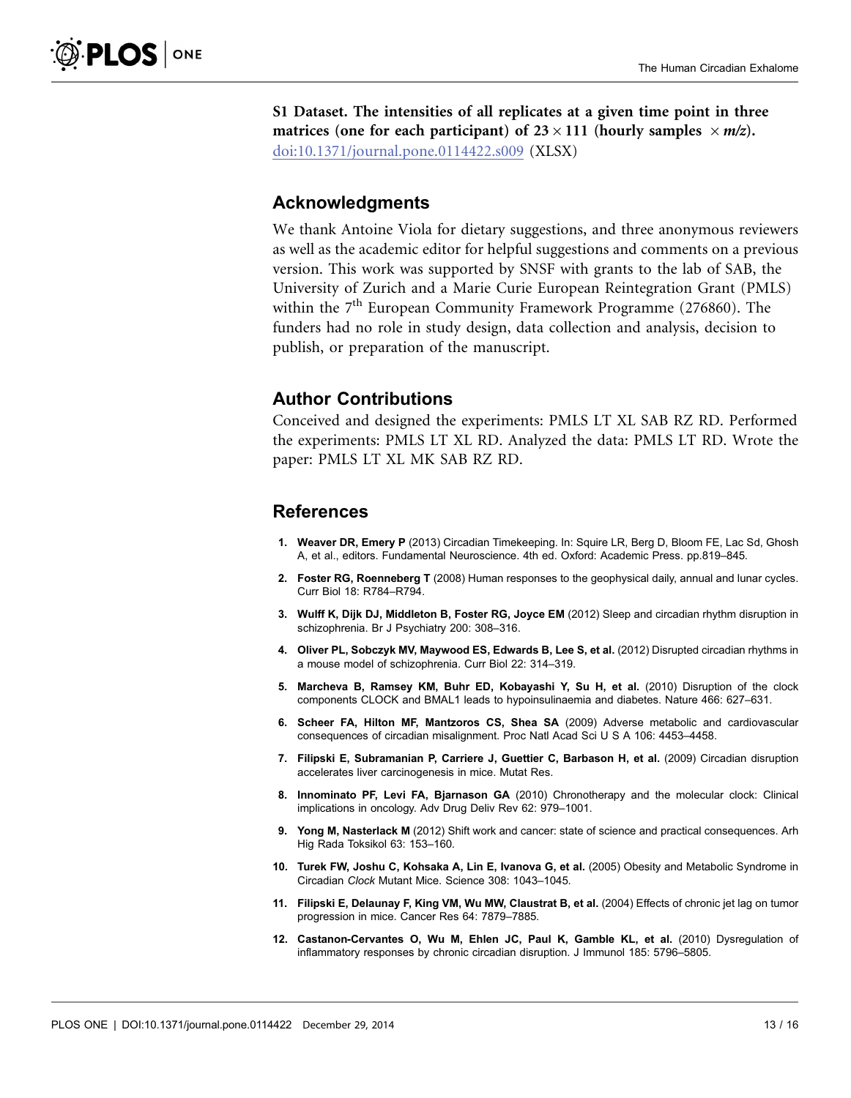<span id="page-12-0"></span>S1 Dataset. The intensities of all replicates at a given time point in three matrices (one for each participant) of  $23 \times 111$  (hourly samples  $\times m/z$ ). [doi:10.1371/journal.pone.0114422.s009](http://www.plosone.org/article/fetchSingleRepresentation.action?uri=info:doi/10.1371/journal.pone.0114422.s009) (XLSX)

# Acknowledgments

We thank Antoine Viola for dietary suggestions, and three anonymous reviewers as well as the academic editor for helpful suggestions and comments on a previous version. This work was supported by SNSF with grants to the lab of SAB, the University of Zurich and a Marie Curie European Reintegration Grant (PMLS) within the  $7<sup>th</sup>$  European Community Framework Programme (276860). The funders had no role in study design, data collection and analysis, decision to publish, or preparation of the manuscript.

# Author Contributions

Conceived and designed the experiments: PMLS LT XL SAB RZ RD. Performed the experiments: PMLS LT XL RD. Analyzed the data: PMLS LT RD. Wrote the paper: PMLS LT XL MK SAB RZ RD.

# References

- 1. Weaver DR, Emery P (2013) Circadian Timekeeping. In: Squire LR, Berg D, Bloom FE, Lac Sd, Ghosh A, et al., editors. Fundamental Neuroscience. 4th ed. Oxford: Academic Press. pp.819–845.
- 2. Foster RG, Roenneberg T (2008) Human responses to the geophysical daily, annual and lunar cycles. Curr Biol 18: R784–R794.
- 3. Wulff K, Dijk DJ, Middleton B, Foster RG, Joyce EM (2012) Sleep and circadian rhythm disruption in schizophrenia. Br J Psychiatry 200: 308–316.
- 4. Oliver PL, Sobczyk MV, Maywood ES, Edwards B, Lee S, et al. (2012) Disrupted circadian rhythms in a mouse model of schizophrenia. Curr Biol 22: 314–319.
- 5. Marcheva B, Ramsey KM, Buhr ED, Kobayashi Y, Su H, et al. (2010) Disruption of the clock components CLOCK and BMAL1 leads to hypoinsulinaemia and diabetes. Nature 466: 627–631.
- 6. Scheer FA, Hilton MF, Mantzoros CS, Shea SA (2009) Adverse metabolic and cardiovascular consequences of circadian misalignment. Proc Natl Acad Sci U S A 106: 4453–4458.
- 7. Filipski E, Subramanian P, Carriere J, Guettier C, Barbason H, et al. (2009) Circadian disruption accelerates liver carcinogenesis in mice. Mutat Res.
- 8. Innominato PF, Levi FA, Bjarnason GA (2010) Chronotherapy and the molecular clock: Clinical implications in oncology. Adv Drug Deliv Rev 62: 979–1001.
- 9. Yong M, Nasterlack M (2012) Shift work and cancer: state of science and practical consequences. Arh Hig Rada Toksikol 63: 153–160.
- 10. Turek FW, Joshu C, Kohsaka A, Lin E, Ivanova G, et al. (2005) Obesity and Metabolic Syndrome in Circadian Clock Mutant Mice. Science 308: 1043–1045.
- 11. Filipski E, Delaunay F, King VM, Wu MW, Claustrat B, et al. (2004) Effects of chronic jet lag on tumor progression in mice. Cancer Res 64: 7879–7885.
- 12. Castanon-Cervantes O, Wu M, Ehlen JC, Paul K, Gamble KL, et al. (2010) Dysregulation of inflammatory responses by chronic circadian disruption. J Immunol 185: 5796–5805.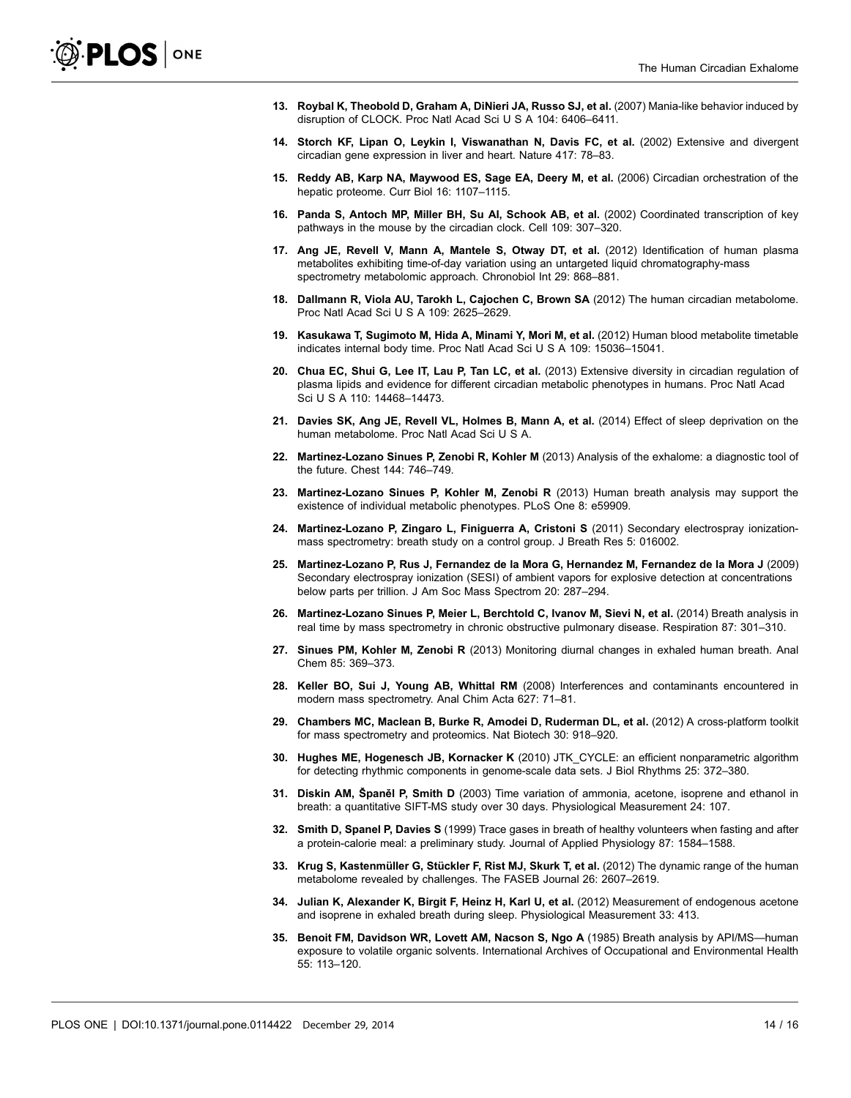- <span id="page-13-0"></span>13. Roybal K, Theobold D, Graham A, DiNieri JA, Russo SJ, et al. (2007) Mania-like behavior induced by disruption of CLOCK. Proc Natl Acad Sci U S A 104: 6406–6411.
- 14. Storch KF, Lipan O, Leykin I, Viswanathan N, Davis FC, et al. (2002) Extensive and divergent circadian gene expression in liver and heart. Nature 417: 78–83.
- 15. Reddy AB, Karp NA, Maywood ES, Sage EA, Deery M, et al. (2006) Circadian orchestration of the hepatic proteome. Curr Biol 16: 1107–1115.
- 16. Panda S, Antoch MP, Miller BH, Su AI, Schook AB, et al. (2002) Coordinated transcription of key pathways in the mouse by the circadian clock. Cell 109: 307–320.
- 17. Ang JE, Revell V, Mann A, Mantele S, Otway DT, et al. (2012) Identification of human plasma metabolites exhibiting time-of-day variation using an untargeted liquid chromatography-mass spectrometry metabolomic approach. Chronobiol Int 29: 868–881.
- 18. Dallmann R, Viola AU, Tarokh L, Cajochen C, Brown SA (2012) The human circadian metabolome. Proc Natl Acad Sci U S A 109: 2625–2629.
- 19. Kasukawa T, Sugimoto M, Hida A, Minami Y, Mori M, et al. (2012) Human blood metabolite timetable indicates internal body time. Proc Natl Acad Sci U S A 109: 15036–15041.
- 20. Chua EC, Shui G, Lee IT, Lau P, Tan LC, et al. (2013) Extensive diversity in circadian regulation of plasma lipids and evidence for different circadian metabolic phenotypes in humans. Proc Natl Acad Sci U S A 110: 14468–14473.
- 21. Davies SK, Ang JE, Revell VL, Holmes B, Mann A, et al. (2014) Effect of sleep deprivation on the human metabolome. Proc Natl Acad Sci U S A.
- 22. Martinez-Lozano Sinues P, Zenobi R, Kohler M (2013) Analysis of the exhalome: a diagnostic tool of the future. Chest 144: 746–749.
- 23. Martinez-Lozano Sinues P, Kohler M, Zenobi R (2013) Human breath analysis may support the existence of individual metabolic phenotypes. PLoS One 8: e59909.
- 24. Martinez-Lozano P, Zingaro L, Finiguerra A, Cristoni S (2011) Secondary electrospray ionizationmass spectrometry: breath study on a control group. J Breath Res 5: 016002.
- 25. Martinez-Lozano P, Rus J, Fernandez de la Mora G, Hernandez M, Fernandez de la Mora J (2009) Secondary electrospray ionization (SESI) of ambient vapors for explosive detection at concentrations below parts per trillion. J Am Soc Mass Spectrom 20: 287–294.
- 26. Martinez-Lozano Sinues P, Meier L, Berchtold C, Ivanov M, Sievi N, et al. (2014) Breath analysis in real time by mass spectrometry in chronic obstructive pulmonary disease. Respiration 87: 301–310.
- 27. Sinues PM, Kohler M, Zenobi R (2013) Monitoring diurnal changes in exhaled human breath. Anal Chem 85: 369–373.
- 28. Keller BO, Sui J, Young AB, Whittal RM (2008) Interferences and contaminants encountered in modern mass spectrometry. Anal Chim Acta 627: 71–81.
- 29. Chambers MC, Maclean B, Burke R, Amodei D, Ruderman DL, et al. (2012) A cross-platform toolkit for mass spectrometry and proteomics. Nat Biotech 30: 918–920.
- 30. Hughes ME, Hogenesch JB, Kornacker K (2010) JTK CYCLE: an efficient nonparametric algorithm for detecting rhythmic components in genome-scale data sets. J Biol Rhythms 25: 372–380.
- 31. Diskin AM, Španěl P, Smith D (2003) Time variation of ammonia, acetone, isoprene and ethanol in breath: a quantitative SIFT-MS study over 30 days. Physiological Measurement 24: 107.
- 32. Smith D, Spanel P, Davies S (1999) Trace gases in breath of healthy volunteers when fasting and after a protein-calorie meal: a preliminary study. Journal of Applied Physiology 87: 1584–1588.
- 33. Krug S, Kastenmüller G, Stückler F, Rist MJ, Skurk T, et al. (2012) The dynamic range of the human metabolome revealed by challenges. The FASEB Journal 26: 2607–2619.
- 34. Julian K, Alexander K, Birgit F, Heinz H, Karl U, et al. (2012) Measurement of endogenous acetone and isoprene in exhaled breath during sleep. Physiological Measurement 33: 413.
- 35. Benoit FM, Davidson WR, Lovett AM, Nacson S, Ngo A (1985) Breath analysis by API/MS—human exposure to volatile organic solvents. International Archives of Occupational and Environmental Health 55: 113–120.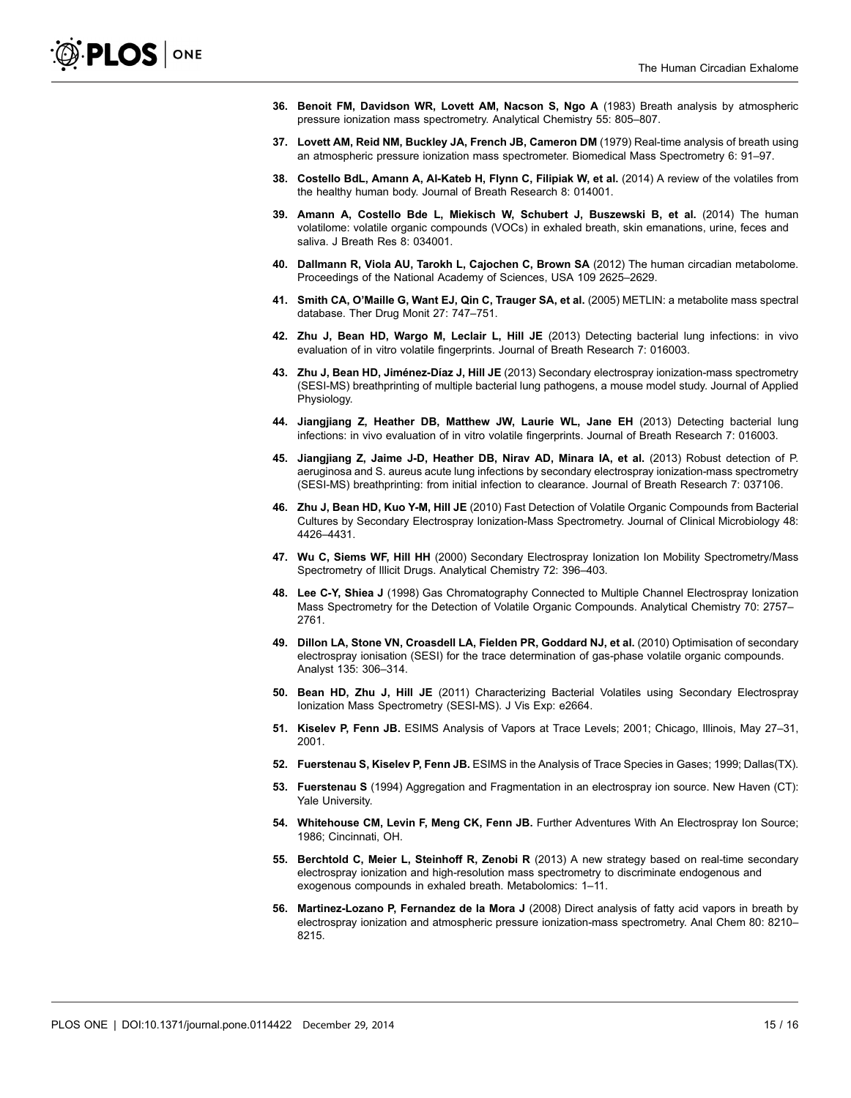- <span id="page-14-0"></span>36. Benoit FM, Davidson WR, Lovett AM, Nacson S, Ngo A (1983) Breath analysis by atmospheric pressure ionization mass spectrometry. Analytical Chemistry 55: 805–807.
- 37. Lovett AM, Reid NM, Buckley JA, French JB, Cameron DM (1979) Real-time analysis of breath using an atmospheric pressure ionization mass spectrometer. Biomedical Mass Spectrometry 6: 91–97.
- 38. Costello BdL, Amann A, Al-Kateb H, Flynn C, Filipiak W, et al. (2014) A review of the volatiles from the healthy human body. Journal of Breath Research 8: 014001.
- 39. Amann A, Costello Bde L, Miekisch W, Schubert J, Buszewski B, et al. (2014) The human volatilome: volatile organic compounds (VOCs) in exhaled breath, skin emanations, urine, feces and saliva. J Breath Res 8: 034001.
- 40. Dallmann R, Viola AU, Tarokh L, Cajochen C, Brown SA (2012) The human circadian metabolome. Proceedings of the National Academy of Sciences, USA 109 2625–2629.
- 41. Smith CA, O'Maille G, Want EJ, Qin C, Trauger SA, et al. (2005) METLIN: a metabolite mass spectral database. Ther Drug Monit 27: 747–751.
- 42. Zhu J, Bean HD, Wargo M, Leclair L, Hill JE (2013) Detecting bacterial lung infections: in vivo evaluation of in vitro volatile fingerprints. Journal of Breath Research 7: 016003.
- 43. Zhu J, Bean HD, Jiménez-Díaz J, Hill JE (2013) Secondary electrospray ionization-mass spectrometry (SESI-MS) breathprinting of multiple bacterial lung pathogens, a mouse model study. Journal of Applied Physiology.
- 44. Jiangjiang Z, Heather DB, Matthew JW, Laurie WL, Jane EH (2013) Detecting bacterial lung infections: in vivo evaluation of in vitro volatile fingerprints. Journal of Breath Research 7: 016003.
- 45. Jiangjiang Z, Jaime J-D, Heather DB, Nirav AD, Minara IA, et al. (2013) Robust detection of P. aeruginosa and S. aureus acute lung infections by secondary electrospray ionization-mass spectrometry (SESI-MS) breathprinting: from initial infection to clearance. Journal of Breath Research 7: 037106.
- 46. Zhu J, Bean HD, Kuo Y-M, Hill JE (2010) Fast Detection of Volatile Organic Compounds from Bacterial Cultures by Secondary Electrospray Ionization-Mass Spectrometry. Journal of Clinical Microbiology 48: 4426–4431.
- 47. Wu C, Siems WF, Hill HH (2000) Secondary Electrospray Ionization Ion Mobility Spectrometry/Mass Spectrometry of Illicit Drugs. Analytical Chemistry 72: 396–403.
- 48. Lee C-Y, Shiea J (1998) Gas Chromatography Connected to Multiple Channel Electrospray Ionization Mass Spectrometry for the Detection of Volatile Organic Compounds. Analytical Chemistry 70: 2757– 2761.
- 49. Dillon LA, Stone VN, Croasdell LA, Fielden PR, Goddard NJ, et al. (2010) Optimisation of secondary electrospray ionisation (SESI) for the trace determination of gas-phase volatile organic compounds. Analyst 135: 306–314.
- 50. Bean HD, Zhu J, Hill JE (2011) Characterizing Bacterial Volatiles using Secondary Electrospray Ionization Mass Spectrometry (SESI-MS). J Vis Exp: e2664.
- 51. Kiselev P, Fenn JB. ESIMS Analysis of Vapors at Trace Levels; 2001; Chicago, Illinois, May 27–31, 2001.
- 52. Fuerstenau S, Kiselev P, Fenn JB. ESIMS in the Analysis of Trace Species in Gases; 1999; Dallas(TX).
- 53. Fuerstenau S (1994) Aggregation and Fragmentation in an electrospray ion source. New Haven (CT): Yale University.
- 54. Whitehouse CM, Levin F, Meng CK, Fenn JB. Further Adventures With An Electrospray Ion Source; 1986; Cincinnati, OH.
- 55. Berchtold C, Meier L, Steinhoff R, Zenobi R (2013) A new strategy based on real-time secondary electrospray ionization and high-resolution mass spectrometry to discriminate endogenous and exogenous compounds in exhaled breath. Metabolomics: 1–11.
- 56. Martinez-Lozano P, Fernandez de la Mora J (2008) Direct analysis of fatty acid vapors in breath by electrospray ionization and atmospheric pressure ionization-mass spectrometry. Anal Chem 80: 8210– 8215.